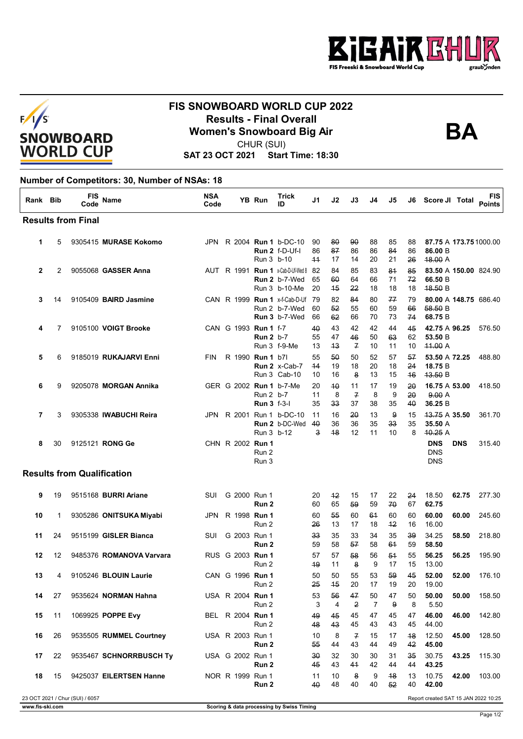



## **FIS SNOWBOARD WORLD CUP 2022 Results - Final Overall<br>Women's Snowboard Big Air**<br>CHUP (SUI)



CHUR (SUI)

**SAT 23 OCT 2021 Start Time: 18:30**

## **Number of Competitors: 30, Number of NSAs: 18**

| Rank Bib     |    | FIS<br>Code                       | <b>Name</b>                 | <b>NSA</b><br>Code | <b>YB Run</b>                            | <b>Trick</b><br>ID                                                  | J1               | J2               | J3                         | J4             | J5                         | J6             | Score JI Total                               |            | FIS<br><b>Points</b>  |
|--------------|----|-----------------------------------|-----------------------------|--------------------|------------------------------------------|---------------------------------------------------------------------|------------------|------------------|----------------------------|----------------|----------------------------|----------------|----------------------------------------------|------------|-----------------------|
|              |    | <b>Results from Final</b>         |                             |                    |                                          |                                                                     |                  |                  |                            |                |                            |                |                                              |            |                       |
| 1            | 5  |                                   | 9305415 MURASE Kokomo       |                    | Run 3 b-10                               | JPN R 2004 Run 1 b-DC-10<br>Run $2$ f-D-Uf-I                        | 90<br>86<br>$+4$ | 80<br>87<br>17   | 90<br>86<br>14             | 88<br>86<br>20 | 85<br>84<br>21             | 88<br>86<br>26 | 87.75 A 173.75 1000.00<br>86.00 B<br>48.00 A |            |                       |
| $\mathbf{2}$ | 2  |                                   | 9055068 GASSER Anna         |                    |                                          | AUT R 1991 Run 1 x-Cab-D-Uf-Wed 8<br>Run 2 b-7-Wed<br>Run 3 b-10-Me | -82<br>65<br>20  | 84<br>60<br>$+5$ | 85<br>64<br>22             | 83<br>66<br>18 | 81<br>71<br>18             | 85<br>72<br>18 | 83.50 A 150.00 824.90<br>66.50 B<br>48.50 B  |            |                       |
| 3            | 14 |                                   | 9105409 BAIRD Jasmine       |                    |                                          | CAN R 1999 Run 1 x-f-Cab-D-Uf<br>Run 2 b-7-Wed<br>Run 3 b-7-Wed     | - 79<br>60<br>66 | 82<br>52<br>62   | 84<br>55<br>66             | 80<br>60<br>70 | 77<br>59<br>73             | 79<br>66<br>74 | 58.50 B<br>68.75 B                           |            | 80.00 A 148.75 686.40 |
| 4            | 7  |                                   | 9105100 VOIGT Brooke        |                    | CAN G 1993 Run 1 f-7<br><b>Run 2</b> b-7 | Run 3 f-9-Me                                                        | 40<br>55<br>13   | 43<br>47<br>43   | 42<br>46<br>$\overline{f}$ | 42<br>50<br>10 | 44<br>63<br>11             | 45<br>62<br>10 | 42.75 A 96.25<br>53.50 B<br>44.00A           |            | 576.50                |
| 5            | 6  |                                   | 9185019 RUKAJARVI Enni      | <b>FIN</b>         | R 1990 Run 1 b7l                         | Run 2 x-Cab-7<br>Run 3 Cab-10                                       | 55<br>44<br>10   | 50<br>19<br>16   | 50<br>18<br>8              | 52<br>20<br>13 | 57<br>18<br>15             | 57<br>24<br>46 | 53.50 A 72.25<br>18.75 B<br>43.50 B          |            | 488.80                |
| 6            | 9  |                                   | 9205078 MORGAN Annika       |                    | Run 2 b-7<br>Run 3 f-3-l                 | GER G 2002 Run 1 b-7-Me                                             | 20<br>11<br>35   | 40<br>8<br>33    | 11<br>$\overline{f}$<br>37 | 17<br>8<br>38  | 19<br>9<br>35              | 20<br>20<br>40 | 16.75 A 53.00<br>9.00A<br>36.25 B            |            | 418.50                |
| 7            | 3  |                                   | 9305338 IWABUCHI Reira      |                    |                                          | JPN R 2001 Run 1 b-DC-10<br>Run 2 b-DC-Wed<br>Run 3 b-12            | 11<br>40<br>3    | 16<br>36<br>48   | 20<br>36<br>12             | 13<br>35<br>11 | 9<br>33 <sub>3</sub><br>10 | 15<br>35<br>8  | 43.75 A 35.50<br>35.50 A<br>40.25A           |            | 361.70                |
| 8            | 30 |                                   | 9125121 RONG Ge             |                    | CHN R 2002 Run 1<br>Run 2<br>Run 3       |                                                                     |                  |                  |                            |                |                            |                | <b>DNS</b><br><b>DNS</b><br><b>DNS</b>       | <b>DNS</b> | 315.40                |
|              |    | <b>Results from Qualification</b> |                             |                    |                                          |                                                                     |                  |                  |                            |                |                            |                |                                              |            |                       |
| 9            | 19 |                                   | 9515168 <b>BURRI Ariane</b> | SUI                | G 2000 Run 1<br>Run 2                    |                                                                     | 20<br>60         | $+2$<br>65       | 15<br>59                   | 17<br>59       | 22<br>70                   | 24<br>67       | 18.50<br>62.75                               | 62.75      | 277.30                |
| 10           | 1  |                                   | 9305286 ONITSUKA Miyabi     | JPN.               | R 1998 Run 1<br>Run 2                    |                                                                     | 60<br>26         | 55<br>13         | 60<br>17                   | 61<br>18       | 60<br>$+2$                 | 60<br>16       | 60.00<br>16.00                               | 60.00      | 245.60                |
| 11           | 24 |                                   | 9515199 GISLER Bianca       | SUI                | G 2003 Run 1<br>Run 2                    |                                                                     | 33<br>59         | 35<br>58         | 33<br>57                   | 34<br>58       | 35<br>61                   | 39<br>59       | 34.25<br>58.50                               | 58.50      | 218.80                |
| 12           | 12 |                                   | 9485376 ROMANOVA Varvara    |                    | RUS G 2003 Run 1<br>Run 2                |                                                                     | 57<br>49         | 57<br>11         | 58<br>8                    | 56<br>9        | 54<br>17                   | 55<br>15       | 56.25<br>13.00                               | 56.25      | 195.90                |
| 13           | 4  |                                   | 9105246 BLOUIN Laurie       |                    | CAN G 1996 Run 1<br>Run 2                |                                                                     | 50<br>25         | 50<br>45         | 55<br>20                   | 53<br>17       | 59<br>19                   | 45<br>20       | 52.00<br>19.00                               | 52.00      | 176.10                |
| 14           | 27 |                                   | 9535624 NORMAN Hahna        |                    | USA R 2004 Run 1<br>Run 2                |                                                                     | 53<br>3          | 56<br>4          | 47<br>2                    | 50<br>7        | 47<br>9                    | 50<br>8        | 50.00<br>5.50                                | 50.00      | 158.50                |
| 15           | 11 |                                   | 1069925 POPPE Evy           |                    | BEL R 2004 Run 1<br>Run 2                |                                                                     | 49<br>48         | 45<br>43         | 45<br>45                   | 47<br>43       | 45<br>43                   | 47<br>45       | 46.00<br>44.00                               | 46.00      | 142.80                |
| 16           | 26 |                                   | 9535505 RUMMEL Courtney     |                    | USA R 2003 Run 1<br>Run 2                |                                                                     | 10<br>55         | 8<br>44          | 7<br>43                    | 15<br>44       | 17<br>49                   | 48<br>42       | 12.50<br>45.00                               | 45.00      | 128.50                |
| 17           | 22 |                                   | 9535467 SCHNORRBUSCH Ty     |                    | USA G 2002 Run 1<br>Run 2                |                                                                     | 30<br>45         | 32<br>43         | 30<br>41                   | 30<br>42       | 31<br>44                   | 35<br>44       | 30.75<br>43.25                               | 43.25      | 115.30                |
| 18           | 15 |                                   | 9425037 EILERTSEN Hanne     |                    | NOR R 1999 Run 1<br>Run 2                |                                                                     | 11<br>40         | 10<br>48         | 8<br>40                    | 9<br>40        | 48<br>52                   | 13<br>40       | 10.75<br>42.00                               | 42.00      | 103.00                |
|              |    | 23 OCT 2021 / Chur (SUI) / 6057   |                             |                    |                                          |                                                                     |                  |                  |                            |                |                            |                | Report created SAT 15 JAN 2022 10:25         |            |                       |

Page 1/2